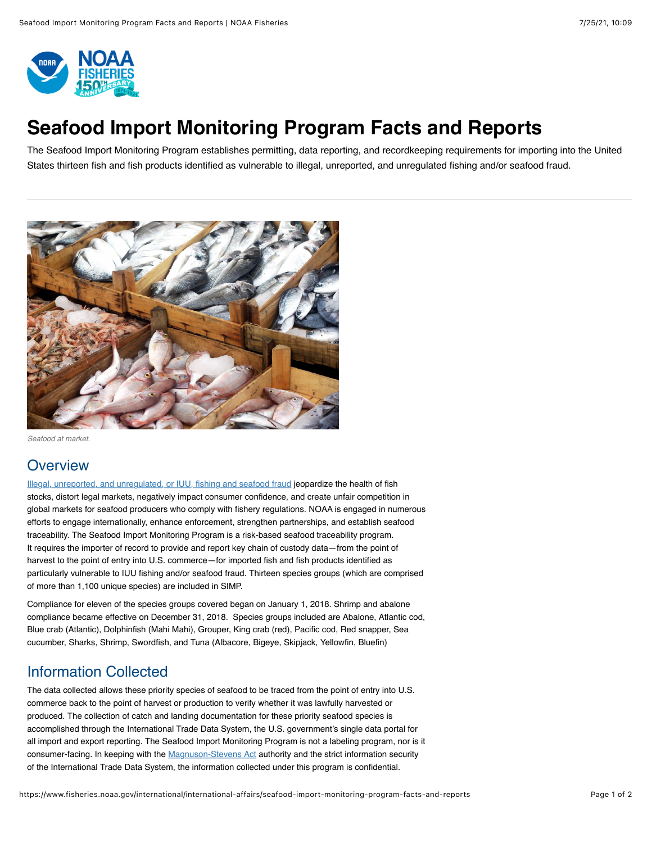

# **Seafood Import Monitoring Program Facts and Reports**

The Seafood Import Monitoring Program establishes permitting, data reporting, and recordkeeping requirements for importing into the United States thirteen fish and fish products identified as vulnerable to illegal, unreported, and unregulated fishing and/or seafood fraud.



*Seafood at market.*

## **Overview**

[Illegal, unreported, and unregulated, or IUU, fishing and seafood fraud](https://www.fisheries.noaa.gov/insight/understanding-illegal-unreported-and-unregulated-fishing) jeopardize the health of fish stocks, distort legal markets, negatively impact consumer confidence, and create unfair competition in global markets for seafood producers who comply with fishery regulations. NOAA is engaged in numerous efforts to engage internationally, enhance enforcement, strengthen partnerships, and establish seafood traceability. The Seafood Import Monitoring Program is a risk-based seafood traceability program. It requires the importer of record to provide and report key chain of custody data—from the point of harvest to the point of entry into U.S. commerce—for imported fish and fish products identified as particularly vulnerable to IUU fishing and/or seafood fraud. Thirteen species groups (which are comprised of more than 1,100 unique species) are included in SIMP.

Compliance for eleven of the species groups covered began on January 1, 2018. Shrimp and abalone compliance became effective on December 31, 2018. Species groups included are Abalone, Atlantic cod, Blue crab (Atlantic), Dolphinfish (Mahi Mahi), Grouper, King crab (red), Pacific cod, Red snapper, Sea cucumber, Sharks, Shrimp, Swordfish, and Tuna (Albacore, Bigeye, Skipjack, Yellowfin, Bluefin)

## Information Collected

The data collected allows these priority species of seafood to be traced from the point of entry into U.S. commerce back to the point of harvest or production to verify whether it was lawfully harvested or produced. The collection of catch and landing documentation for these priority seafood species is accomplished through the International Trade Data System, the U.S. government's single data portal for all import and export reporting. The Seafood Import Monitoring Program is not a labeling program, nor is it consumer-facing. In keeping with the [Magnuson-Stevens Act](https://www.fisheries.noaa.gov/topic/laws-policies#magnuson-stevens-act) authority and the strict information security of the International Trade Data System, the information collected under this program is confidential.